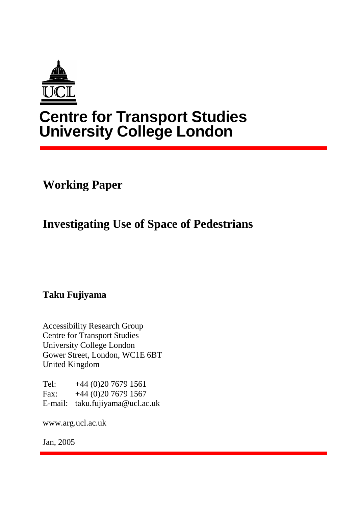

# **Centre for Transport Studies University College London**

**Working Paper** 

**Investigating Use of Space of Pedestrians** 

**Taku Fujiyama** 

Accessibility Research Group Centre for Transport Studies University College London Gower Street, London, WC1E 6BT United Kingdom

Tel:  $+44(0)2076791561$ Fax: +44 (0)20 7679 1567 E-mail: taku.fujiyama@ucl.ac.uk

www.arg.ucl.ac.uk

Jan, 2005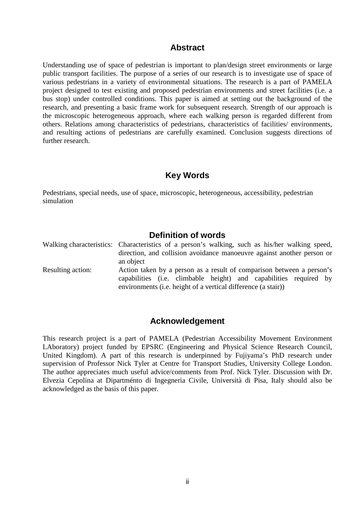# **Abstract**

Understanding use of space of pedestrian is important to plan/design street environments or large public transport facilities. The purpose of a series of our research is to investigate use of space of various pedestrians in a variety of environmental situations. The research is a part of PAMELA project designed to test existing and proposed pedestrian environments and street facilities (i.e. a bus stop) under controlled conditions. This paper is aimed at setting out the background of the research, and presenting a basic frame work for subsequent research. Strength of our approach is the microscopic heterogeneous approach, where each walking person is regarded different from others. Relations among characteristics of pedestrians, characteristics of facilities/ environments, and resulting actions of pedestrians are carefully examined. Conclusion suggests directions of further research.

# **Key Words**

Pedestrians, special needs, use of space, microscopic, heterogeneous, accessibility, pedestrian simulation

# **Definition of words**

|                   | Walking characteristics: Characteristics of a person's walking, such as his/her walking speed, |
|-------------------|------------------------------------------------------------------------------------------------|
|                   | direction, and collision avoidance manoeuvre against another person or                         |
|                   | an object                                                                                      |
| Resulting action: | Action taken by a person as a result of comparison between a person's                          |
|                   | capabilities (i.e. climbable height) and capabilities required by                              |
|                   | environments (i.e. height of a vertical difference (a stair))                                  |

#### **Acknowledgement**

This research project is a part of PAMELA (Pedestrian Accessibility Movement Environment LAboratory) project funded by EPSRC (Engineering and Physical Science Research Council, United Kingdom). A part of this research is underpinned by Fujiyama's PhD research under supervision of Professor Nick Tyler at Centre for Transport Studies, University College London. The author appreciates much useful advice/comments from Prof. Nick Tyler. Discussion with Dr. Elvezia Cepolina at Dipartménto di Ingegneria Civile, Università di Pisa, Italy should also be acknowledged as the basis of this paper.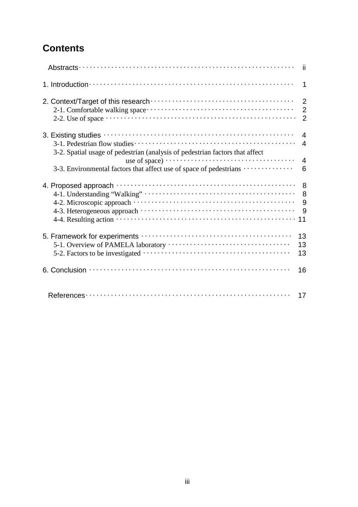# **Contents**

|                                                                                                                               | -ii                                                |
|-------------------------------------------------------------------------------------------------------------------------------|----------------------------------------------------|
|                                                                                                                               | $\mathbf 1$                                        |
| 2-2. Use of space $\cdots$ $\cdots$ $\cdots$ $\cdots$ $\cdots$ $\cdots$ $\cdots$ $\cdots$ $\cdots$ $\cdots$ $\cdots$ $\cdots$ | $\overline{2}$<br>$\overline{2}$<br>$\overline{2}$ |
| 3-2. Spatial usage of pedestrian (analysis of pedestrian factors that affect                                                  | $\boldsymbol{\Lambda}$<br>$\overline{4}$           |
| 3-3. Environmental factors that affect use of space of pedestrians                                                            | $\overline{4}$<br>6                                |
|                                                                                                                               | 8<br>8<br>9<br>9                                   |
|                                                                                                                               | 13<br>13<br>13                                     |
|                                                                                                                               | 16                                                 |
|                                                                                                                               | 17                                                 |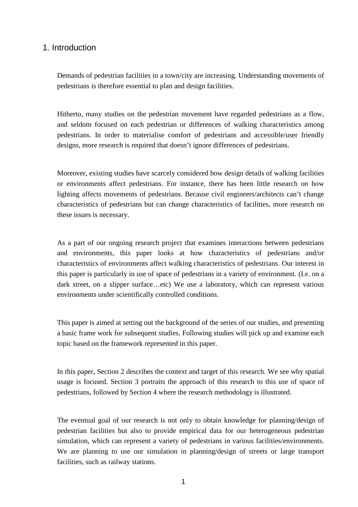# 1. Introduction

Demands of pedestrian facilities in a town/city are increasing. Understanding movements of pedestrians is therefore essential to plan and design facilities.

Hitherto, many studies on the pedestrian movement have regarded pedestrians as a flow, and seldom focused on each pedestrian or differences of walking characteristics among pedestrians. In order to materialise comfort of pedestrians and accessible/user friendly designs, more research is required that doesn't ignore differences of pedestrians.

Moreover, existing studies have scarcely considered how design details of walking facilities or environments affect pedestrians. For instance, there has been little research on how lighting affects movements of pedestrians. Because civil engineers/architects can't change characteristics of pedestrians but can change characteristics of facilities, more research on these issues is necessary.

As a part of our ongoing research project that examines interactions between pedestrians and environments, this paper looks at how characteristics of pedestrians and/or characteristics of environments affect walking characteristics of pedestrians. Our interest in this paper is particularly in use of space of pedestrians in a variety of environment. (I.e. on a dark street, on a slipper surface…etc) We use a laboratory, which can represent various environments under scientifically controlled conditions.

This paper is aimed at setting out the background of the series of our studies, and presenting a basic frame work for subsequent studies. Following studies will pick up and examine each topic based on the framework represented in this paper.

In this paper, Section 2 describes the context and target of this research. We see why spatial usage is focused. Section 3 portraits the approach of this research to this use of space of pedestrians, followed by Section 4 where the research methodology is illustrated.

The eventual goal of our research is not only to obtain knowledge for planning/design of pedestrian facilities but also to provide empirical data for our heterogeneous pedestrian simulation, which can represent a variety of pedestrians in various facilities/environments. We are planning to use our simulation in planning/design of streets or large transport facilities, such as railway stations.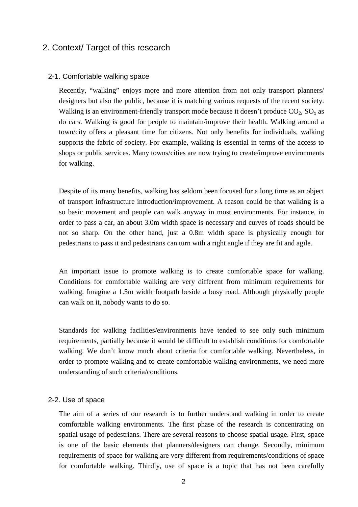# 2. Context/ Target of this research

#### 2-1. Comfortable walking space

Recently, "walking" enjoys more and more attention from not only transport planners/ designers but also the public, because it is matching various requests of the recent society. Walking is an environment-friendly transport mode because it doesn't produce  $CO_2$ ,  $SO_x$  as do cars. Walking is good for people to maintain/improve their health. Walking around a town/city offers a pleasant time for citizens. Not only benefits for individuals, walking supports the fabric of society. For example, walking is essential in terms of the access to shops or public services. Many towns/cities are now trying to create/improve environments for walking.

Despite of its many benefits, walking has seldom been focused for a long time as an object of transport infrastructure introduction/improvement. A reason could be that walking is a so basic movement and people can walk anyway in most environments. For instance, in order to pass a car, an about 3.0m width space is necessary and curves of roads should be not so sharp. On the other hand, just a 0.8m width space is physically enough for pedestrians to pass it and pedestrians can turn with a right angle if they are fit and agile.

An important issue to promote walking is to create comfortable space for walking. Conditions for comfortable walking are very different from minimum requirements for walking. Imagine a 1.5m width footpath beside a busy road. Although physically people can walk on it, nobody wants to do so.

Standards for walking facilities/environments have tended to see only such minimum requirements, partially because it would be difficult to establish conditions for comfortable walking. We don't know much about criteria for comfortable walking. Nevertheless, in order to promote walking and to create comfortable walking environments, we need more understanding of such criteria/conditions.

#### 2-2. Use of space

The aim of a series of our research is to further understand walking in order to create comfortable walking environments. The first phase of the research is concentrating on spatial usage of pedestrians. There are several reasons to choose spatial usage. First, space is one of the basic elements that planners/designers can change. Secondly, minimum requirements of space for walking are very different from requirements/conditions of space for comfortable walking. Thirdly, use of space is a topic that has not been carefully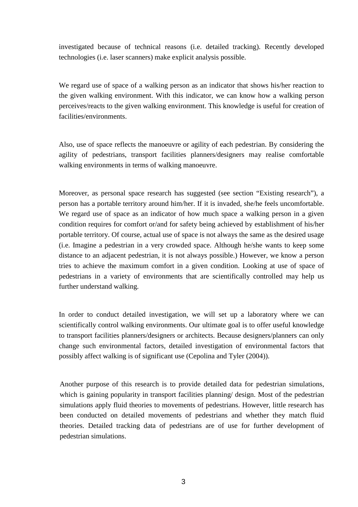investigated because of technical reasons (i.e. detailed tracking). Recently developed technologies (i.e. laser scanners) make explicit analysis possible.

We regard use of space of a walking person as an indicator that shows his/her reaction to the given walking environment. With this indicator, we can know how a walking person perceives/reacts to the given walking environment. This knowledge is useful for creation of facilities/environments.

Also, use of space reflects the manoeuvre or agility of each pedestrian. By considering the agility of pedestrians, transport facilities planners/designers may realise comfortable walking environments in terms of walking manoeuvre.

Moreover, as personal space research has suggested (see section "Existing research"), a person has a portable territory around him/her. If it is invaded, she/he feels uncomfortable. We regard use of space as an indicator of how much space a walking person in a given condition requires for comfort or/and for safety being achieved by establishment of his/her portable territory. Of course, actual use of space is not always the same as the desired usage (i.e. Imagine a pedestrian in a very crowded space. Although he/she wants to keep some distance to an adjacent pedestrian, it is not always possible.) However, we know a person tries to achieve the maximum comfort in a given condition. Looking at use of space of pedestrians in a variety of environments that are scientifically controlled may help us further understand walking.

In order to conduct detailed investigation, we will set up a laboratory where we can scientifically control walking environments. Our ultimate goal is to offer useful knowledge to transport facilities planners/designers or architects. Because designers/planners can only change such environmental factors, detailed investigation of environmental factors that possibly affect walking is of significant use (Cepolina and Tyler (2004)).

Another purpose of this research is to provide detailed data for pedestrian simulations, which is gaining popularity in transport facilities planning/ design. Most of the pedestrian simulations apply fluid theories to movements of pedestrians. However, little research has been conducted on detailed movements of pedestrians and whether they match fluid theories. Detailed tracking data of pedestrians are of use for further development of pedestrian simulations.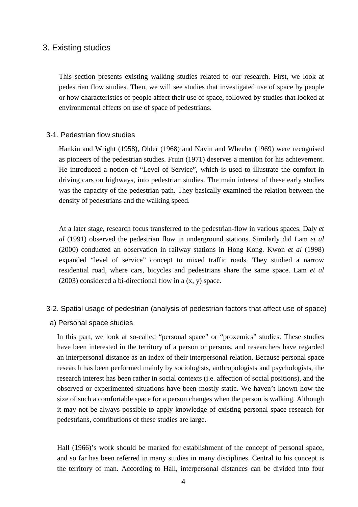# 3. Existing studies

This section presents existing walking studies related to our research. First, we look at pedestrian flow studies. Then, we will see studies that investigated use of space by people or how characteristics of people affect their use of space, followed by studies that looked at environmental effects on use of space of pedestrians.

#### 3-1. Pedestrian flow studies

Hankin and Wright (1958), Older (1968) and Navin and Wheeler (1969) were recognised as pioneers of the pedestrian studies. Fruin (1971) deserves a mention for his achievement. He introduced a notion of "Level of Service", which is used to illustrate the comfort in driving cars on highways, into pedestrian studies. The main interest of these early studies was the capacity of the pedestrian path. They basically examined the relation between the density of pedestrians and the walking speed.

At a later stage, research focus transferred to the pedestrian-flow in various spaces. Daly *et al* (1991) observed the pedestrian flow in underground stations. Similarly did Lam *et al* (2000) conducted an observation in railway stations in Hong Kong. Kwon *et al* (1998) expanded "level of service" concept to mixed traffic roads. They studied a narrow residential road, where cars, bicycles and pedestrians share the same space. Lam *et al* (2003) considered a bi-directional flow in a (x, y) space.

#### 3-2. Spatial usage of pedestrian (analysis of pedestrian factors that affect use of space)

a) Personal space studies

In this part, we look at so-called "personal space" or "proxemics" studies. These studies have been interested in the territory of a person or persons, and researchers have regarded an interpersonal distance as an index of their interpersonal relation. Because personal space research has been performed mainly by sociologists, anthropologists and psychologists, the research interest has been rather in social contexts (i.e. affection of social positions), and the observed or experimented situations have been mostly static. We haven't known how the size of such a comfortable space for a person changes when the person is walking. Although it may not be always possible to apply knowledge of existing personal space research for pedestrians, contributions of these studies are large.

Hall (1966)'s work should be marked for establishment of the concept of personal space, and so far has been referred in many studies in many disciplines. Central to his concept is the territory of man. According to Hall, interpersonal distances can be divided into four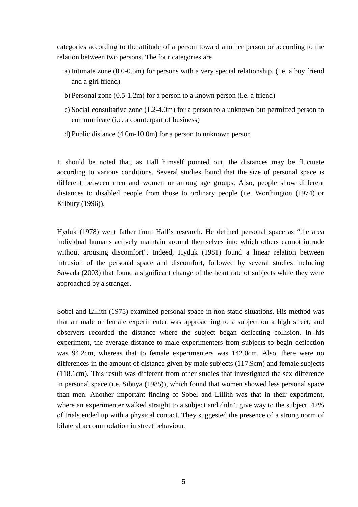categories according to the attitude of a person toward another person or according to the relation between two persons. The four categories are

- a) Intimate zone (0.0-0.5m) for persons with a very special relationship. (i.e. a boy friend and a girl friend)
- b) Personal zone (0.5-1.2m) for a person to a known person (i.e. a friend)
- c) Social consultative zone (1.2-4.0m) for a person to a unknown but permitted person to communicate (i.e. a counterpart of business)
- d) Public distance (4.0m-10.0m) for a person to unknown person

It should be noted that, as Hall himself pointed out, the distances may be fluctuate according to various conditions. Several studies found that the size of personal space is different between men and women or among age groups. Also, people show different distances to disabled people from those to ordinary people (i.e. Worthington (1974) or Kilbury (1996)).

Hyduk (1978) went father from Hall's research. He defined personal space as "the area individual humans actively maintain around themselves into which others cannot intrude without arousing discomfort". Indeed, Hyduk (1981) found a linear relation between intrusion of the personal space and discomfort, followed by several studies including Sawada (2003) that found a significant change of the heart rate of subjects while they were approached by a stranger.

Sobel and Lillith (1975) examined personal space in non-static situations. His method was that an male or female experimenter was approaching to a subject on a high street, and observers recorded the distance where the subject began deflecting collision. In his experiment, the average distance to male experimenters from subjects to begin deflection was 94.2cm, whereas that to female experimenters was 142.0cm. Also, there were no differences in the amount of distance given by male subjects (117.9cm) and female subjects (118.1cm). This result was different from other studies that investigated the sex difference in personal space (i.e. Sibuya (1985)), which found that women showed less personal space than men. Another important finding of Sobel and Lillith was that in their experiment, where an experimenter walked straight to a subject and didn't give way to the subject, 42% of trials ended up with a physical contact. They suggested the presence of a strong norm of bilateral accommodation in street behaviour.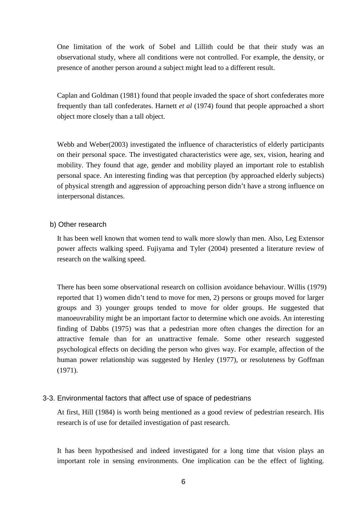One limitation of the work of Sobel and Lillith could be that their study was an observational study, where all conditions were not controlled. For example, the density, or presence of another person around a subject might lead to a different result.

Caplan and Goldman (1981) found that people invaded the space of short confederates more frequently than tall confederates. Harnett *et al* (1974) found that people approached a short object more closely than a tall object.

Webb and Weber(2003) investigated the influence of characteristics of elderly participants on their personal space. The investigated characteristics were age, sex, vision, hearing and mobility. They found that age, gender and mobility played an important role to establish personal space. An interesting finding was that perception (by approached elderly subjects) of physical strength and aggression of approaching person didn't have a strong influence on interpersonal distances.

#### b) Other research

It has been well known that women tend to walk more slowly than men. Also, Leg Extensor power affects walking speed. Fujiyama and Tyler (2004) presented a literature review of research on the walking speed.

There has been some observational research on collision avoidance behaviour. Willis (1979) reported that 1) women didn't tend to move for men, 2) persons or groups moved for larger groups and 3) younger groups tended to move for older groups. He suggested that manoeuvrability might be an important factor to determine which one avoids. An interesting finding of Dabbs (1975) was that a pedestrian more often changes the direction for an attractive female than for an unattractive female. Some other research suggested psychological effects on deciding the person who gives way. For example, affection of the human power relationship was suggested by Henley (1977)*,* or resoluteness by Goffman (1971).

#### 3-3. Environmental factors that affect use of space of pedestrians

At first, Hill (1984) is worth being mentioned as a good review of pedestrian research. His research is of use for detailed investigation of past research.

It has been hypothesised and indeed investigated for a long time that vision plays an important role in sensing environments. One implication can be the effect of lighting.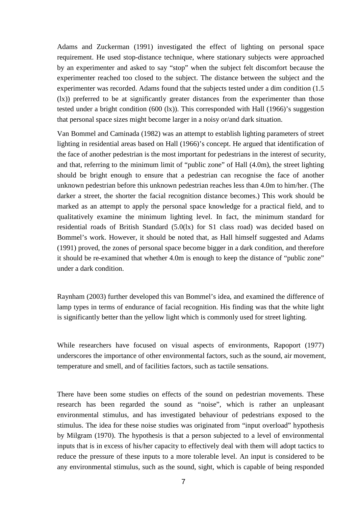Adams and Zuckerman (1991) investigated the effect of lighting on personal space requirement. He used stop-distance technique, where stationary subjects were approached by an experimenter and asked to say "stop" when the subject felt discomfort because the experimenter reached too closed to the subject. The distance between the subject and the experimenter was recorded. Adams found that the subjects tested under a dim condition (1.5 (lx)) preferred to be at significantly greater distances from the experimenter than those tested under a bright condition (600 (lx)). This corresponded with Hall (1966)'s suggestion that personal space sizes might become larger in a noisy or/and dark situation.

Van Bommel and Caminada (1982) was an attempt to establish lighting parameters of street lighting in residential areas based on Hall (1966)'s concept. He argued that identification of the face of another pedestrian is the most important for pedestrians in the interest of security, and that, referring to the minimum limit of "public zone" of Hall (4.0m), the street lighting should be bright enough to ensure that a pedestrian can recognise the face of another unknown pedestrian before this unknown pedestrian reaches less than 4.0m to him/her. (The darker a street, the shorter the facial recognition distance becomes.) This work should be marked as an attempt to apply the personal space knowledge for a practical field, and to qualitatively examine the minimum lighting level. In fact, the minimum standard for residential roads of British Standard (5.0(lx) for S1 class road) was decided based on Bommel's work. However, it should be noted that, as Hall himself suggested and Adams (1991) proved, the zones of personal space become bigger in a dark condition, and therefore it should be re-examined that whether 4.0m is enough to keep the distance of "public zone" under a dark condition.

Raynham (2003) further developed this van Bommel's idea, and examined the difference of lamp types in terms of endurance of facial recognition. His finding was that the white light is significantly better than the yellow light which is commonly used for street lighting.

While researchers have focused on visual aspects of environments, Rapoport (1977) underscores the importance of other environmental factors, such as the sound, air movement, temperature and smell, and of facilities factors, such as tactile sensations.

There have been some studies on effects of the sound on pedestrian movements. These research has been regarded the sound as "noise", which is rather an unpleasant environmental stimulus, and has investigated behaviour of pedestrians exposed to the stimulus. The idea for these noise studies was originated from "input overload" hypothesis by Milgram (1970). The hypothesis is that a person subjected to a level of environmental inputs that is in excess of his/her capacity to effectively deal with them will adopt tactics to reduce the pressure of these inputs to a more tolerable level. An input is considered to be any environmental stimulus, such as the sound, sight, which is capable of being responded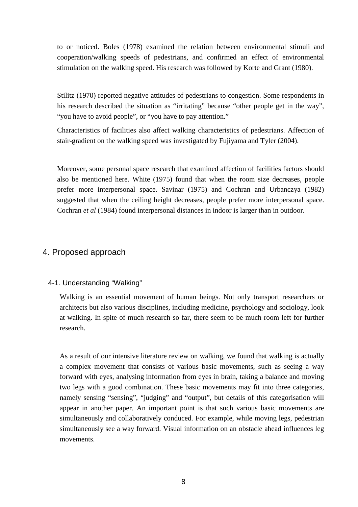to or noticed. Boles (1978) examined the relation between environmental stimuli and cooperation/walking speeds of pedestrians, and confirmed an effect of environmental stimulation on the walking speed. His research was followed by Korte and Grant (1980).

Stilitz (1970) reported negative attitudes of pedestrians to congestion. Some respondents in his research described the situation as "irritating" because "other people get in the way", "you have to avoid people", or "you have to pay attention."

Characteristics of facilities also affect walking characteristics of pedestrians. Affection of stair-gradient on the walking speed was investigated by Fujiyama and Tyler (2004).

Moreover, some personal space research that examined affection of facilities factors should also be mentioned here. White (1975) found that when the room size decreases, people prefer more interpersonal space. Savinar (1975) and Cochran and Urbanczya (1982) suggested that when the ceiling height decreases, people prefer more interpersonal space. Cochran *et al* (1984) found interpersonal distances in indoor is larger than in outdoor.

# 4. Proposed approach

#### 4-1. Understanding "Walking"

Walking is an essential movement of human beings. Not only transport researchers or architects but also various disciplines, including medicine, psychology and sociology, look at walking. In spite of much research so far, there seem to be much room left for further research.

As a result of our intensive literature review on walking, we found that walking is actually a complex movement that consists of various basic movements, such as seeing a way forward with eyes, analysing information from eyes in brain, taking a balance and moving two legs with a good combination. These basic movements may fit into three categories, namely sensing "sensing", "judging" and "output", but details of this categorisation will appear in another paper. An important point is that such various basic movements are simultaneously and collaboratively conduced. For example, while moving legs, pedestrian simultaneously see a way forward. Visual information on an obstacle ahead influences leg movements.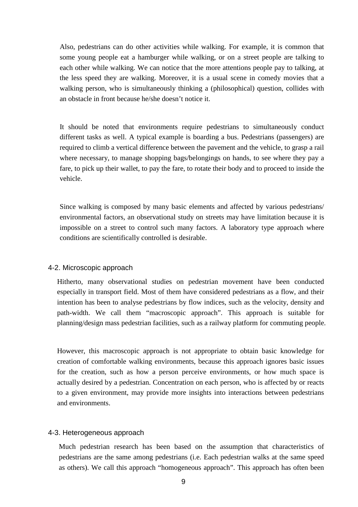Also, pedestrians can do other activities while walking. For example, it is common that some young people eat a hamburger while walking, or on a street people are talking to each other while walking. We can notice that the more attentions people pay to talking, at the less speed they are walking. Moreover, it is a usual scene in comedy movies that a walking person, who is simultaneously thinking a (philosophical) question, collides with an obstacle in front because he/she doesn't notice it.

It should be noted that environments require pedestrians to simultaneously conduct different tasks as well. A typical example is boarding a bus. Pedestrians (passengers) are required to climb a vertical difference between the pavement and the vehicle, to grasp a rail where necessary, to manage shopping bags/belongings on hands, to see where they pay a fare, to pick up their wallet, to pay the fare, to rotate their body and to proceed to inside the vehicle.

Since walking is composed by many basic elements and affected by various pedestrians/ environmental factors, an observational study on streets may have limitation because it is impossible on a street to control such many factors. A laboratory type approach where conditions are scientifically controlled is desirable.

#### 4-2. Microscopic approach

Hitherto, many observational studies on pedestrian movement have been conducted especially in transport field. Most of them have considered pedestrians as a flow, and their intention has been to analyse pedestrians by flow indices, such as the velocity, density and path-width. We call them "macroscopic approach". This approach is suitable for planning/design mass pedestrian facilities, such as a railway platform for commuting people.

However, this macroscopic approach is not appropriate to obtain basic knowledge for creation of comfortable walking environments, because this approach ignores basic issues for the creation, such as how a person perceive environments, or how much space is actually desired by a pedestrian. Concentration on each person, who is affected by or reacts to a given environment, may provide more insights into interactions between pedestrians and environments.

#### 4-3. Heterogeneous approach

Much pedestrian research has been based on the assumption that characteristics of pedestrians are the same among pedestrians (i.e. Each pedestrian walks at the same speed as others). We call this approach "homogeneous approach". This approach has often been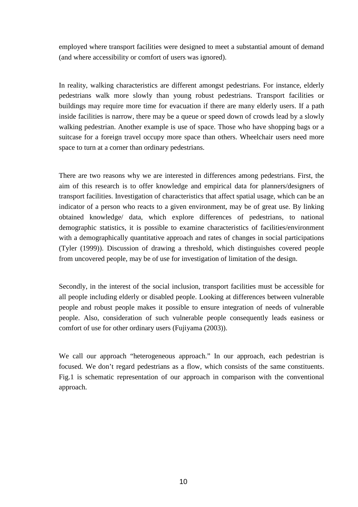employed where transport facilities were designed to meet a substantial amount of demand (and where accessibility or comfort of users was ignored).

In reality, walking characteristics are different amongst pedestrians. For instance, elderly pedestrians walk more slowly than young robust pedestrians. Transport facilities or buildings may require more time for evacuation if there are many elderly users. If a path inside facilities is narrow, there may be a queue or speed down of crowds lead by a slowly walking pedestrian. Another example is use of space. Those who have shopping bags or a suitcase for a foreign travel occupy more space than others. Wheelchair users need more space to turn at a corner than ordinary pedestrians.

There are two reasons why we are interested in differences among pedestrians. First, the aim of this research is to offer knowledge and empirical data for planners/designers of transport facilities. Investigation of characteristics that affect spatial usage, which can be an indicator of a person who reacts to a given environment, may be of great use. By linking obtained knowledge/ data, which explore differences of pedestrians, to national demographic statistics, it is possible to examine characteristics of facilities/environment with a demographically quantitative approach and rates of changes in social participations (Tyler (1999)). Discussion of drawing a threshold, which distinguishes covered people from uncovered people, may be of use for investigation of limitation of the design.

Secondly, in the interest of the social inclusion, transport facilities must be accessible for all people including elderly or disabled people. Looking at differences between vulnerable people and robust people makes it possible to ensure integration of needs of vulnerable people. Also, consideration of such vulnerable people consequently leads easiness or comfort of use for other ordinary users (Fujiyama (2003)).

We call our approach "heterogeneous approach." In our approach, each pedestrian is focused. We don't regard pedestrians as a flow, which consists of the same constituents. Fig.1 is schematic representation of our approach in comparison with the conventional approach.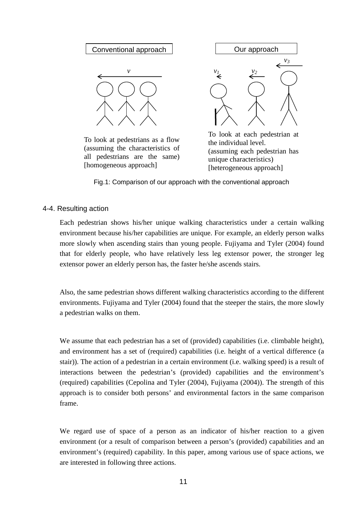

To look at pedestrians as a flow (assuming the characteristics of all pedestrians are the same) [homogeneous approach]

the individual level. (assuming each pedestrian has unique characteristics) [heterogeneous approach]

Fig.1: Comparison of our approach with the conventional approach

#### 4-4. Resulting action

Each pedestrian shows his/her unique walking characteristics under a certain walking environment because his/her capabilities are unique. For example, an elderly person walks more slowly when ascending stairs than young people. Fujiyama and Tyler (2004) found that for elderly people, who have relatively less leg extensor power, the stronger leg extensor power an elderly person has, the faster he/she ascends stairs.

Also, the same pedestrian shows different walking characteristics according to the different environments. Fujiyama and Tyler (2004) found that the steeper the stairs, the more slowly a pedestrian walks on them.

We assume that each pedestrian has a set of (provided) capabilities (i.e. climbable height), and environment has a set of (required) capabilities (i.e. height of a vertical difference (a stair)). The action of a pedestrian in a certain environment (i.e. walking speed) is a result of interactions between the pedestrian's (provided) capabilities and the environment's (required) capabilities (Cepolina and Tyler (2004), Fujiyama (2004)). The strength of this approach is to consider both persons' and environmental factors in the same comparison frame.

We regard use of space of a person as an indicator of his/her reaction to a given environment (or a result of comparison between a person's (provided) capabilities and an environment's (required) capability. In this paper, among various use of space actions, we are interested in following three actions.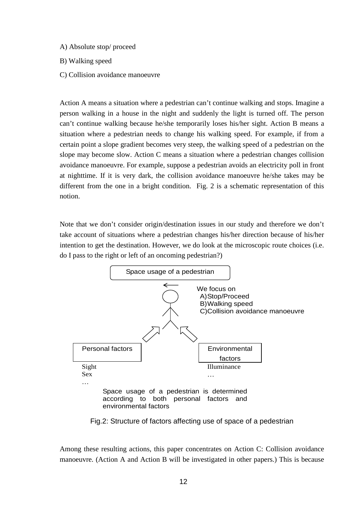- A) Absolute stop/ proceed
- B) Walking speed
- C) Collision avoidance manoeuvre

Action A means a situation where a pedestrian can't continue walking and stops. Imagine a person walking in a house in the night and suddenly the light is turned off. The person can't continue walking because he/she temporarily loses his/her sight. Action B means a situation where a pedestrian needs to change his walking speed. For example, if from a certain point a slope gradient becomes very steep, the walking speed of a pedestrian on the slope may become slow. Action C means a situation where a pedestrian changes collision avoidance manoeuvre. For example, suppose a pedestrian avoids an electricity poll in front at nighttime. If it is very dark, the collision avoidance manoeuvre he/she takes may be different from the one in a bright condition. Fig. 2 is a schematic representation of this notion.

Note that we don't consider origin/destination issues in our study and therefore we don't take account of situations where a pedestrian changes his/her direction because of his/her intention to get the destination. However, we do look at the microscopic route choices (i.e. do I pass to the right or left of an oncoming pedestrian?)



Fig.2: Structure of factors affecting use of space of a pedestrian

Among these resulting actions, this paper concentrates on Action C: Collision avoidance manoeuvre. (Action A and Action B will be investigated in other papers.) This is because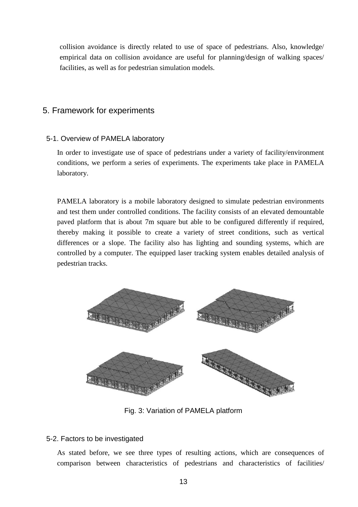collision avoidance is directly related to use of space of pedestrians. Also, knowledge/ empirical data on collision avoidance are useful for planning/design of walking spaces/ facilities, as well as for pedestrian simulation models.

# 5. Framework for experiments

# 5-1. Overview of PAMELA laboratory

In order to investigate use of space of pedestrians under a variety of facility/environment conditions, we perform a series of experiments. The experiments take place in PAMELA laboratory.

PAMELA laboratory is a mobile laboratory designed to simulate pedestrian environments and test them under controlled conditions. The facility consists of an elevated demountable paved platform that is about 7m square but able to be configured differently if required, thereby making it possible to create a variety of street conditions, such as vertical differences or a slope. The facility also has lighting and sounding systems, which are controlled by a computer. The equipped laser tracking system enables detailed analysis of pedestrian tracks.



Fig. 3: Variation of PAMELA platform

#### 5-2. Factors to be investigated

As stated before, we see three types of resulting actions, which are consequences of comparison between characteristics of pedestrians and characteristics of facilities/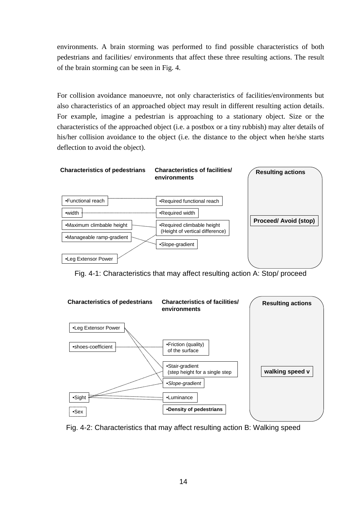environments. A brain storming was performed to find possible characteristics of both pedestrians and facilities/ environments that affect these three resulting actions. The result of the brain storming can be seen in Fig. 4.

For collision avoidance manoeuvre, not only characteristics of facilities/environments but also characteristics of an approached object may result in different resulting action details. For example, imagine a pedestrian is approaching to a stationary object. Size or the characteristics of the approached object (i.e. a postbox or a tiny rubbish) may alter details of his/her collision avoidance to the object (i.e. the distance to the object when he/she starts deflection to avoid the object).



Fig. 4-1: Characteristics that may affect resulting action A: Stop/ proceed



Fig. 4-2: Characteristics that may affect resulting action B: Walking speed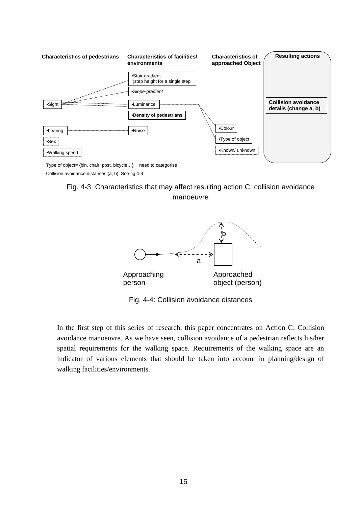

Type of object= {bin, chair, post, bicycle...} ß need to categorise Collision avoidance distances (a, b): See fig 4-4

Fig. 4-3: Characteristics that may affect resulting action C: collision avoidance manoeuvre



Fig. 4-4: Collision avoidance distances

In the first step of this series of research, this paper concentrates on Action C: Collision avoidance manoeuvre. As we have seen, collision avoidance of a pedestrian reflects his/her spatial requirements for the walking space. Requirements of the walking space are an indicator of various elements that should be taken into account in planning/design of walking facilities/environments.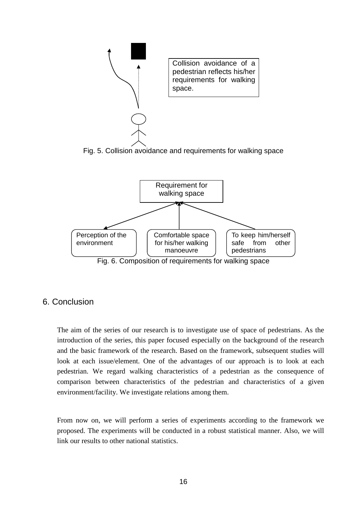

for his/her walking manoeuvre

Fig. 6. Composition of requirements for walking space

safe from other

pedestrians



environment

The aim of the series of our research is to investigate use of space of pedestrians. As the introduction of the series, this paper focused especially on the background of the research and the basic framework of the research. Based on the framework, subsequent studies will look at each issue/element. One of the advantages of our approach is to look at each pedestrian. We regard walking characteristics of a pedestrian as the consequence of comparison between characteristics of the pedestrian and characteristics of a given environment/facility. We investigate relations among them.

From now on, we will perform a series of experiments according to the framework we proposed. The experiments will be conducted in a robust statistical manner. Also, we will link our results to other national statistics.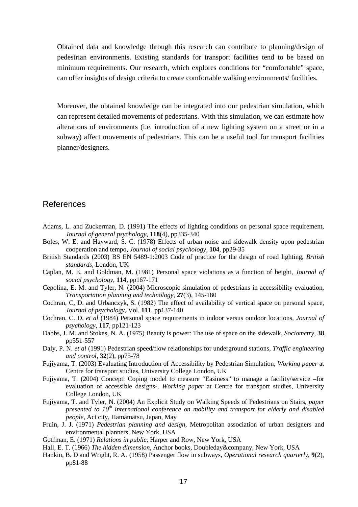Obtained data and knowledge through this research can contribute to planning/design of pedestrian environments. Existing standards for transport facilities tend to be based on minimum requirements. Our research, which explores conditions for "comfortable" space, can offer insights of design criteria to create comfortable walking environments/ facilities.

Moreover, the obtained knowledge can be integrated into our pedestrian simulation, which can represent detailed movements of pedestrians. With this simulation, we can estimate how alterations of environments (i.e. introduction of a new lighting system on a street or in a subway) affect movements of pedestrians. This can be a useful tool for transport facilities planner/designers.

# References

- Adams, L. and Zuckerman, D. (1991) The effects of lighting conditions on personal space requirement, *Journal of general psychology*, **118**(4), pp335-340
- Boles, W. E. and Hayward, S. C. (1978) Effects of urban noise and sidewalk density upon pedestrian cooperation and tempo, *Journal of social psychology*, **104**, pp29-35
- British Standards (2003) BS EN 5489-1:2003 Code of practice for the design of road lighting, *British standards*, London, UK
- Caplan, M. E. and Goldman, M. (1981) Personal space violations as a function of height, *Journal of social psychology*, **114**, pp167-171
- Cepolina, E. M. and Tyler, N. (2004) Microscopic simulation of pedestrians in accessibility evaluation, *Transportation planning and technology*, **27**(3), 145-180
- Cochran, C, D. and Urbanczyk, S. (1982) The effect of availability of vertical space on personal space, *Journal of psychology*, Vol. **111**, pp137-140
- Cochran, C. D. *et al* (1984) Personal space requirements in indoor versus outdoor locations, *Journal of psychology*, **117**, pp121-123
- Dabbs, J. M. and Stokes, N. A. (1975) Beauty is power: The use of space on the sidewalk, *Sociometry*, **38**, pp551-557
- Daly, P. N. *et al* (1991) Pedestrian speed/flow relationships for underground stations, *Traffic engineering and control*, **32**(2), pp75-78
- Fujiyama, T. (2003) Evaluating Introduction of Accessibility by Pedestrian Simulation, *Working paper* at Centre for transport studies, University College London, UK
- Fujiyama, T. (2004) Concept: Coping model to measure "Easiness" to manage a facility/service –for evaluation of accessible designs-, *Working paper* at Centre for transport studies, University College London, UK
- Fujiyama, T. and Tyler, N. (2004) An Explicit Study on Walking Speeds of Pedestrians on Stairs, *paper presented to 10th international conference on mobility and transport for elderly and disabled people*, Act city, Hamamatsu, Japan, May
- Fruin, J. J. (1971) *Pedestrian planning and design*, Metropolitan association of urban designers and environmental planners, New York, USA
- Goffman, E. (1971) *Relations in public*, Harper and Row, New York, USA
- Hall, E. T. (1966) *The hidden dimension*, Anchor books, Doubleday&company, New York, USA
- Hankin, B. D and Wright, R. A. (1958) Passenger flow in subways, *Operational research quarterly*, **9**(2), pp81-88